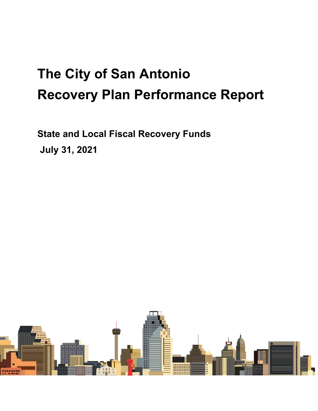# **The City of San Antonio Recovery Plan Performance Report**

**State and Local Fiscal Recovery Funds July 31, 2021**

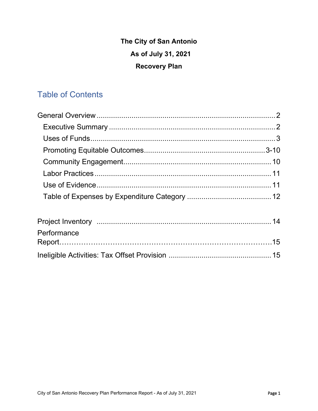# **The City of San Antonio As of July 31, 2021 Recovery Plan**

# Table of Contents

| Performance |  |
|-------------|--|
|             |  |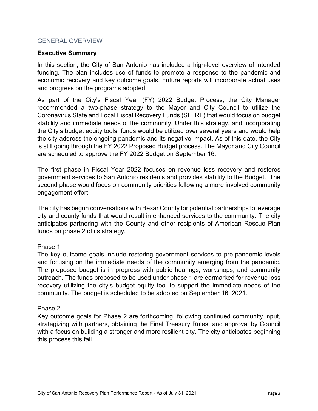#### GENERAL OVERVIEW

#### **Executive Summary**

In this section, the City of San Antonio has included a high-level overview of intended funding. The plan includes use of funds to promote a response to the pandemic and economic recovery and key outcome goals. Future reports will incorporate actual uses and progress on the programs adopted.

As part of the City's Fiscal Year (FY) 2022 Budget Process, the City Manager recommended a two-phase strategy to the Mayor and City Council to utilize the Coronavirus State and Local Fiscal Recovery Funds (SLFRF) that would focus on budget stability and immediate needs of the community. Under this strategy, and incorporating the City's budget equity tools, funds would be utilized over several years and would help the city address the ongoing pandemic and its negative impact. As of this date, the City is still going through the FY 2022 Proposed Budget process. The Mayor and City Council are scheduled to approve the FY 2022 Budget on September 16.

The first phase in Fiscal Year 2022 focuses on revenue loss recovery and restores government services to San Antonio residents and provides stability to the Budget. The second phase would focus on community priorities following a more involved community engagement effort.

The city has begun conversations with Bexar County for potential partnerships to leverage city and county funds that would result in enhanced services to the community. The city anticipates partnering with the County and other recipients of American Rescue Plan funds on phase 2 of its strategy.

# Phase 1

The key outcome goals include restoring government services to pre-pandemic levels and focusing on the immediate needs of the community emerging from the pandemic. The proposed budget is in progress with public hearings, workshops, and community outreach. The funds proposed to be used under phase 1 are earmarked for revenue loss recovery utilizing the city's budget equity tool to support the immediate needs of the community. The budget is scheduled to be adopted on September 16, 2021.

#### Phase 2

Key outcome goals for Phase 2 are forthcoming, following continued community input, strategizing with partners, obtaining the Final Treasury Rules, and approval by Council with a focus on building a stronger and more resilient city. The city anticipates beginning this process this fall.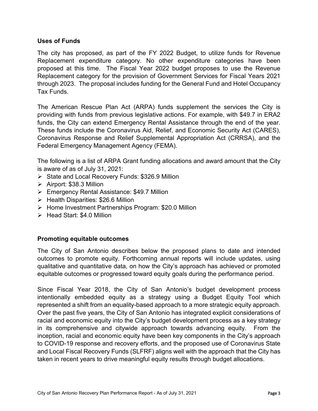# **Uses of Funds**

The city has proposed, as part of the FY 2022 Budget, to utilize funds for Revenue Replacement expenditure category. No other expenditure categories have been proposed at this time. The Fiscal Year 2022 budget proposes to use the Revenue Replacement category for the provision of Government Services for Fiscal Years 2021 through 2023. The proposal includes funding for the General Fund and Hotel Occupancy Tax Funds.

The American Rescue Plan Act (ARPA) funds supplement the services the City is providing with funds from previous legislative actions. For example, with \$49.7 in ERA2 funds, the City can extend Emergency Rental Assistance through the end of the year. These funds include the Coronavirus Aid, Relief, and Economic Security Act (CARES), Coronavirus Response and Relief Supplemental Appropriation Act (CRRSA), and the Federal Emergency Management Agency (FEMA).

The following is a list of ARPA Grant funding allocations and award amount that the City is aware of as of July 31, 2021:

- $\triangleright$  State and Local Recovery Funds: \$326.9 Million
- $\triangleright$  Airport: \$38.3 Million
- Emergency Rental Assistance: \$49.7 Million
- $\triangleright$  Health Disparities: \$26.6 Million
- ▶ Home Investment Partnerships Program: \$20.0 Million
- $\triangleright$  Head Start: \$4.0 Million

# **Promoting equitable outcomes**

The City of San Antonio describes below the proposed plans to date and intended outcomes to promote equity. Forthcoming annual reports will include updates, using qualitative and quantitative data, on how the City's approach has achieved or promoted equitable outcomes or progressed toward equity goals during the performance period.

Since Fiscal Year 2018, the City of San Antonio's budget development process intentionally embedded equity as a strategy using a Budget Equity Tool which represented a shift from an equality-based approach to a more strategic equity approach. Over the past five years, the City of San Antonio has integrated explicit considerations of racial and economic equity into the City's budget development process as a key strategy in its comprehensive and citywide approach towards advancing equity. From the inception, racial and economic equity have been key components in the City's approach to COVID-19 response and recovery efforts, and the proposed use of Coronavirus State and Local Fiscal Recovery Funds (SLFRF) aligns well with the approach that the City has taken in recent years to drive meaningful equity results through budget allocations.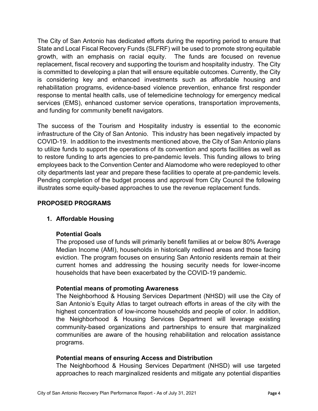The City of San Antonio has dedicated efforts during the reporting period to ensure that State and Local Fiscal Recovery Funds (SLFRF) will be used to promote strong equitable growth, with an emphasis on racial equity. The funds are focused on revenue replacement, fiscal recovery and supporting the tourism and hospitality industry. The City is committed to developing a plan that will ensure equitable outcomes. Currently, the City is considering key and enhanced investments such as affordable housing and rehabilitation programs, evidence-based violence prevention, enhance first responder response to mental health calls, use of telemedicine technology for emergency medical services (EMS), enhanced customer service operations, transportation improvements, and funding for community benefit navigators.

The success of the Tourism and Hospitality industry is essential to the economic infrastructure of the City of San Antonio. This industry has been negatively impacted by COVID-19. In addition to the investments mentioned above, the City of San Antonio plans to utilize funds to support the operations of its convention and sports facilities as well as to restore funding to arts agencies to pre-pandemic levels. This funding allows to bring employees back to the Convention Center and Alamodome who were redeployed to other city departments last year and prepare these facilities to operate at pre-pandemic levels. Pending completion of the budget process and approval from City Council the following illustrates some equity-based approaches to use the revenue replacement funds.

# **PROPOSED PROGRAMS**

# **1. Affordable Housing**

# **Potential Goals**

The proposed use of funds will primarily benefit families at or below 80% Average Median Income (AMI), households in historically redlined areas and those facing eviction. The program focuses on ensuring San Antonio residents remain at their current homes and addressing the housing security needs for lower-income households that have been exacerbated by the COVID-19 pandemic.

# **Potential means of promoting Awareness**

The Neighborhood & Housing Services Department (NHSD) will use the City of San Antonio's Equity Atlas to target outreach efforts in areas of the city with the highest concentration of low-income households and people of color. In addition, the Neighborhood & Housing Services Department will leverage existing community-based organizations and partnerships to ensure that marginalized communities are aware of the housing rehabilitation and relocation assistance programs.

# **Potential means of ensuring Access and Distribution**

The Neighborhood & Housing Services Department (NHSD) will use targeted approaches to reach marginalized residents and mitigate any potential disparities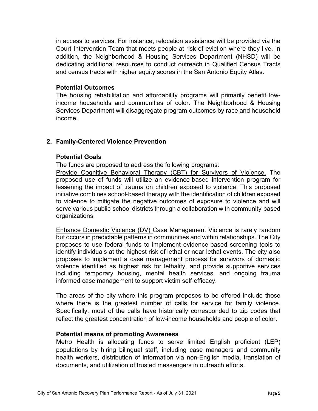in access to services. For instance, relocation assistance will be provided via the Court Intervention Team that meets people at risk of eviction where they live. In addition, the Neighborhood & Housing Services Department (NHSD) will be dedicating additional resources to conduct outreach in Qualified Census Tracts and census tracts with higher equity scores in the San Antonio Equity Atlas.

#### **Potential Outcomes**

The housing rehabilitation and affordability programs will primarily benefit lowincome households and communities of color. The Neighborhood & Housing Services Department will disaggregate program outcomes by race and household income.

# **2. Family-Centered Violence Prevention**

#### **Potential Goals**

The funds are proposed to address the following programs:

Provide Cognitive Behavioral Therapy (CBT) for Survivors of Violence. The proposed use of funds will utilize an evidence‐based intervention program for lessening the impact of trauma on children exposed to violence. This proposed initiative combines school‐based therapy with the identification of children exposed to violence to mitigate the negative outcomes of exposure to violence and will serve various public-school districts through a collaboration with community‐based organizations.

Enhance Domestic Violence (DV) Case Management Violence is rarely random but occurs in predictable patterns in communities and within relationships. The City proposes to use federal funds to implement evidence‐based screening tools to identify individuals at the highest risk of lethal or near‐lethal events. The city also proposes to implement a case management process for survivors of domestic violence identified as highest risk for lethality, and provide supportive services including temporary housing, mental health services, and ongoing trauma informed case management to support victim self‐efficacy.

The areas of the city where this program proposes to be offered include those where there is the greatest number of calls for service for family violence. Specifically, most of the calls have historically corresponded to zip codes that reflect the greatest concentration of low-income households and people of color.

#### **Potential means of promoting Awareness**

Metro Health is allocating funds to serve limited English proficient (LEP) populations by hiring bilingual staff, including case managers and community health workers, distribution of information via non-English media, translation of documents, and utilization of trusted messengers in outreach efforts.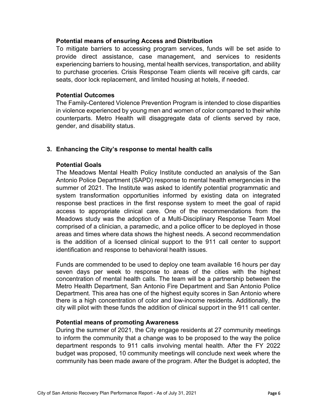# **Potential means of ensuring Access and Distribution**

To mitigate barriers to accessing program services, funds will be set aside to provide direct assistance, case management, and services to residents experiencing barriers to housing, mental health services, transportation, and ability to purchase groceries. Crisis Response Team clients will receive gift cards, car seats, door lock replacement, and limited housing at hotels, if needed.

#### **Potential Outcomes**

The Family-Centered Violence Prevention Program is intended to close disparities in violence experienced by young men and women of color compared to their white counterparts. Metro Health will disaggregate data of clients served by race, gender, and disability status.

# **3. Enhancing the City's response to mental health calls**

# **Potential Goals**

The Meadows Mental Health Policy Institute conducted an analysis of the San Antonio Police Department (SAPD) response to mental health emergencies in the summer of 2021. The Institute was asked to identify potential programmatic and system transformation opportunities informed by existing data on integrated response best practices in the first response system to meet the goal of rapid access to appropriate clinical care. One of the recommendations from the Meadows study was the adoption of a Multi-Disciplinary Response Team Moel comprised of a clinician, a paramedic, and a police officer to be deployed in those areas and times where data shows the highest needs. A second recommendation is the addition of a licensed clinical support to the 911 call center to support identification and response to behavioral health issues.

Funds are commended to be used to deploy one team available 16 hours per day seven days per week to response to areas of the cities with the highest concentration of mental health calls. The team will be a partnership between the Metro Health Department, San Antonio Fire Department and San Antonio Police Department. This area has one of the highest equity scores in San Antonio where there is a high concentration of color and low-income residents. Additionally, the city will pilot with these funds the addition of clinical support in the 911 call center.

# **Potential means of promoting Awareness**

During the summer of 2021, the City engage residents at 27 community meetings to inform the community that a change was to be proposed to the way the police department responds to 911 calls involving mental health. After the FY 2022 budget was proposed, 10 community meetings will conclude next week where the community has been made aware of the program. After the Budget is adopted, the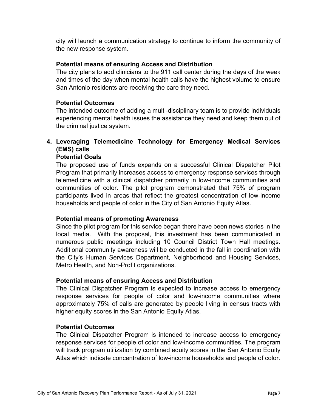city will launch a communication strategy to continue to inform the community of the new response system.

# **Potential means of ensuring Access and Distribution**

The city plans to add clinicians to the 911 call center during the days of the week and times of the day when mental health calls have the highest volume to ensure San Antonio residents are receiving the care they need.

# **Potential Outcomes**

The intended outcome of adding a multi-disciplinary team is to provide individuals experiencing mental health issues the assistance they need and keep them out of the criminal justice system.

# **4. Leveraging Telemedicine Technology for Emergency Medical Services (EMS) calls**

# **Potential Goals**

The proposed use of funds expands on a successful Clinical Dispatcher Pilot Program that primarily increases access to emergency response services through telemedicine with a clinical dispatcher primarily in low-income communities and communities of color. The pilot program demonstrated that 75% of program participants lived in areas that reflect the greatest concentration of low-income households and people of color in the City of San Antonio Equity Atlas.

# **Potential means of promoting Awareness**

Since the pilot program for this service began there have been news stories in the local media. With the proposal, this investment has been communicated in numerous public meetings including 10 Council District Town Hall meetings. Additional community awareness will be conducted in the fall in coordination with the City's Human Services Department, Neighborhood and Housing Services, Metro Health, and Non-Profit organizations.

# **Potential means of ensuring Access and Distribution**

The Clinical Dispatcher Program is expected to increase access to emergency response services for people of color and low-income communities where approximately 75% of calls are generated by people living in census tracts with higher equity scores in the San Antonio Equity Atlas.

# **Potential Outcomes**

The Clinical Dispatcher Program is intended to increase access to emergency response services for people of color and low-income communities. The program will track program utilization by combined equity scores in the San Antonio Equity Atlas which indicate concentration of low-income households and people of color.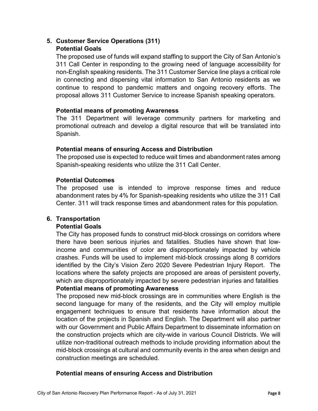# **5. Customer Service Operations (311) Potential Goals**

The proposed use of funds will expand staffing to support the City of San Antonio's 311 Call Center in responding to the growing need of language accessibility for non-English speaking residents. The 311 Customer Service line plays a critical role in connecting and dispersing vital information to San Antonio residents as we continue to respond to pandemic matters and ongoing recovery efforts. The proposal allows 311 Customer Service to increase Spanish speaking operators.

# **Potential means of promoting Awareness**

The 311 Department will leverage community partners for marketing and promotional outreach and develop a digital resource that will be translated into Spanish.

# **Potential means of ensuring Access and Distribution**

The proposed use is expected to reduce wait times and abandonment rates among Spanish-speaking residents who utilize the 311 Call Center.

# **Potential Outcomes**

The proposed use is intended to improve response times and reduce abandonment rates by 4% for Spanish-speaking residents who utilize the 311 Call Center. 311 will track response times and abandonment rates for this population.

# **6. Transportation**

# **Potential Goals**

The City has proposed funds to construct mid-block crossings on corridors where there have been serious injuries and fatalities. Studies have shown that lowincome and communities of color are disproportionately impacted by vehicle crashes. Funds will be used to implement mid-block crossings along 8 corridors identified by the City's Vision Zero 2020 Severe Pedestrian Injury Report. The locations where the safety projects are proposed are areas of persistent poverty, which are disproportionately impacted by severe pedestrian injuries and fatalities **Potential means of promoting Awareness**

The proposed new mid-block crossings are in communities where English is the second language for many of the residents, and the City will employ multiple engagement techniques to ensure that residents have information about the location of the projects in Spanish and English. The Department will also partner with our Government and Public Affairs Department to disseminate information on the construction projects which are city-wide in various Council Districts. We will utilize non-traditional outreach methods to include providing information about the mid-block crossings at cultural and community events in the area when design and construction meetings are scheduled.

# **Potential means of ensuring Access and Distribution**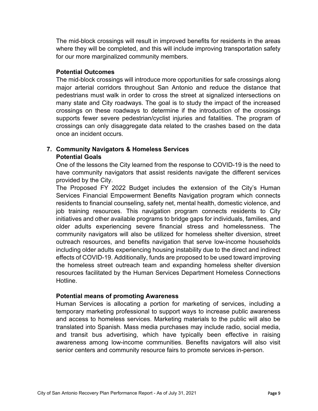The mid-block crossings will result in improved benefits for residents in the areas where they will be completed, and this will include improving transportation safety for our more marginalized community members.

# **Potential Outcomes**

The mid-block crossings will introduce more opportunities for safe crossings along major arterial corridors throughout San Antonio and reduce the distance that pedestrians must walk in order to cross the street at signalized intersections on many state and City roadways. The goal is to study the impact of the increased crossings on these roadways to determine if the introduction of the crossings supports fewer severe pedestrian/cyclist injuries and fatalities. The program of crossings can only disaggregate data related to the crashes based on the data once an incident occurs.

# **7. Community Navigators & Homeless Services Potential Goals**

One of the lessons the City learned from the response to COVID-19 is the need to have community navigators that assist residents navigate the different services provided by the City.

The Proposed FY 2022 Budget includes the extension of the City's Human Services Financial Empowerment Benefits Navigation program which connects residents to financial counseling, safety net, mental health, domestic violence, and job training resources. This navigation program connects residents to City initiatives and other available programs to bridge gaps for individuals, families, and older adults experiencing severe financial stress and homelessness. The community navigators will also be utilized for homeless shelter diversion, street outreach resources, and benefits navigation that serve low-income households including older adults experiencing housing instability due to the direct and indirect effects of COVID-19. Additionally, funds are proposed to be used toward improving the homeless street outreach team and expanding homeless shelter diversion resources facilitated by the Human Services Department Homeless Connections Hotline.

# **Potential means of promoting Awareness**

Human Services is allocating a portion for marketing of services, including a temporary marketing professional to support ways to increase public awareness and access to homeless services. Marketing materials to the public will also be translated into Spanish. Mass media purchases may include radio, social media, and transit bus advertising, which have typically been effective in raising awareness among low-income communities. Benefits navigators will also visit senior centers and community resource fairs to promote services in-person.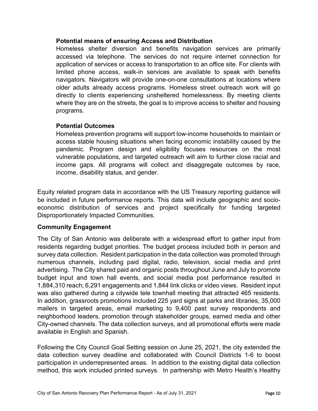# **Potential means of ensuring Access and Distribution**

Homeless shelter diversion and benefits navigation services are primarily accessed via telephone. The services do not require internet connection for application of services or access to transportation to an office site. For clients with limited phone access, walk-in services are available to speak with benefits navigators. Navigators will provide one-on-one consultations at locations where older adults already access programs. Homeless street outreach work will go directly to clients experiencing unsheltered homelessness. By meeting clients where they are on the streets, the goal is to improve access to shelter and housing programs.

# **Potential Outcomes**

Homeless prevention programs will support low-income households to maintain or access stable housing situations when facing economic instability caused by the pandemic. Program design and eligibility focuses resources on the most vulnerable populations, and targeted outreach will aim to further close racial and income gaps. All programs will collect and disaggregate outcomes by race, income, disability status, and gender.

Equity related program data in accordance with the US Treasury reporting guidance will be included in future performance reports. This data will include geographic and socioeconomic distribution of services and project specifically for funding targeted Disproportionately Impacted Communities.

# **Community Engagement**

The City of San Antonio was deliberate with a widespread effort to gather input from residents regarding budget priorities. The budget process included both in person and survey data collection. Resident participation in the data collection was promoted through numerous channels, including paid digital, radio, television, social media and print advertising. The City shared paid and organic posts throughout June and July to promote budget input and town hall events, and social media post performance resulted in 1,884,310 reach; 6,291 engagements and 1,844 link clicks or video views. Resident input was also gathered during a citywide tele townhall meeting that attracted 465 residents. In addition, grassroots promotions included 225 yard signs at parks and libraries, 35,000 mailers in targeted areas, email marketing to 9,400 past survey respondents and neighborhood leaders, promotion through stakeholder groups, earned media and other City-owned channels. The data collection surveys, and all promotional efforts were made available in English and Spanish.

Following the City Council Goal Setting session on June 25, 2021, the city extended the data collection survey deadline and collaborated with Council Districts 1-6 to boost participation in underrepresented areas. In addition to the existing digital data collection method, this work included printed surveys. In partnership with Metro Health's Healthy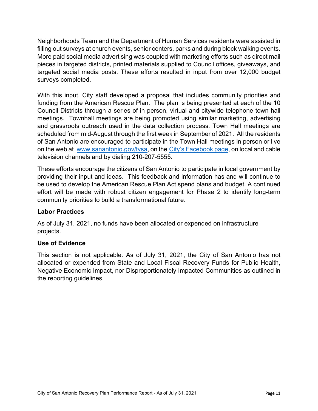Neighborhoods Team and the Department of Human Services residents were assisted in filling out surveys at church events, senior centers, parks and during block walking events. More paid social media advertising was coupled with marketing efforts such as direct mail pieces in targeted districts, printed materials supplied to Council offices, giveaways, and targeted social media posts. These efforts resulted in input from over 12,000 budget surveys completed.

With this input, City staff developed a proposal that includes community priorities and funding from the American Rescue Plan. The plan is being presented at each of the 10 Council Districts through a series of in person, virtual and citywide telephone town hall meetings. Townhall meetings are being promoted using similar marketing, advertising and grassroots outreach used in the data collection process. Town Hall meetings are scheduled from mid-August through the first week in September of 2021. All the residents of San Antonio are encouraged to participate in the Town Hall meetings in person or live on the web at [www.sanantonio.gov/tvsa,](about:blank) on the [City's Facebook page,](about:blank) on local and cable television channels and by dialing 210-207-5555.

These efforts encourage the citizens of San Antonio to participate in local government by providing their input and ideas. This feedback and information has and will continue to be used to develop the American Rescue Plan Act spend plans and budget. A continued effort will be made with robust citizen engagement for Phase 2 to identify long-term community priorities to build a transformational future.

# **Labor Practices**

As of July 31, 2021, no funds have been allocated or expended on infrastructure projects.

# **Use of Evidence**

This section is not applicable. As of July 31, 2021, the City of San Antonio has not allocated or expended from State and Local Fiscal Recovery Funds for Public Health, Negative Economic Impact, nor Disproportionately Impacted Communities as outlined in the reporting guidelines.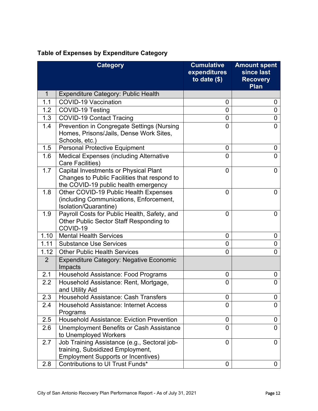|                | <b>Category</b>                                                                                                                      | <b>Cumulative</b><br>expenditures<br>to date $($)$ | <b>Amount spent</b><br>since last<br><b>Recovery</b><br><b>Plan</b> |
|----------------|--------------------------------------------------------------------------------------------------------------------------------------|----------------------------------------------------|---------------------------------------------------------------------|
| 1              | <b>Expenditure Category: Public Health</b>                                                                                           |                                                    |                                                                     |
| 1.1            | <b>COVID-19 Vaccination</b>                                                                                                          | 0                                                  | 0                                                                   |
| 1.2            | COVID-19 Testing                                                                                                                     | 0                                                  | $\overline{0}$                                                      |
| 1.3            | <b>COVID-19 Contact Tracing</b>                                                                                                      | 0                                                  | 0                                                                   |
| 1.4            | Prevention in Congregate Settings (Nursing<br>Homes, Prisons/Jails, Dense Work Sites,<br>Schools, etc.)                              | $\overline{0}$                                     | $\overline{0}$                                                      |
| 1.5            | <b>Personal Protective Equipment</b>                                                                                                 | 0                                                  | 0                                                                   |
| 1.6            | <b>Medical Expenses (including Alternative</b><br><b>Care Facilities)</b>                                                            | 0                                                  | $\overline{0}$                                                      |
| 1.7            | <b>Capital Investments or Physical Plant</b><br>Changes to Public Facilities that respond to<br>the COVID-19 public health emergency | 0                                                  | 0                                                                   |
| 1.8            | Other COVID-19 Public Health Expenses<br>(including Communications, Enforcement,<br>Isolation/Quarantine)                            | 0                                                  | $\overline{0}$                                                      |
| 1.9            | Payroll Costs for Public Health, Safety, and<br>Other Public Sector Staff Responding to<br>COVID-19                                  | 0                                                  | 0                                                                   |
| 1.10           | <b>Mental Health Services</b>                                                                                                        | 0                                                  | 0                                                                   |
| 1.11           | <b>Substance Use Services</b>                                                                                                        | 0                                                  | 0                                                                   |
| 1.12           | <b>Other Public Health Services</b>                                                                                                  | 0                                                  | $\overline{0}$                                                      |
| $\overline{2}$ | <b>Expenditure Category: Negative Economic</b><br>Impacts                                                                            |                                                    |                                                                     |
| 2.1            | Household Assistance: Food Programs                                                                                                  | 0                                                  | 0                                                                   |
| 2.2            | Household Assistance: Rent, Mortgage,<br>and Utility Aid                                                                             | 0                                                  | $\overline{0}$                                                      |
| 2.3            | <b>Household Assistance: Cash Transfers</b>                                                                                          | 0                                                  | 0                                                                   |
| 2.4            | <b>Household Assistance: Internet Access</b><br>Programs                                                                             | 0                                                  | 0                                                                   |
| 2.5            | <b>Household Assistance: Eviction Prevention</b>                                                                                     | 0                                                  | 0                                                                   |
| 2.6            | Unemployment Benefits or Cash Assistance<br>to Unemployed Workers                                                                    | 0                                                  | 0                                                                   |
| 2.7            | Job Training Assistance (e.g., Sectoral job-<br>training, Subsidized Employment,<br><b>Employment Supports or Incentives)</b>        | $\overline{0}$                                     | 0                                                                   |
| 2.8            | Contributions to UI Trust Funds*                                                                                                     | 0                                                  | 0                                                                   |

# **Table of Expenses by Expenditure Category**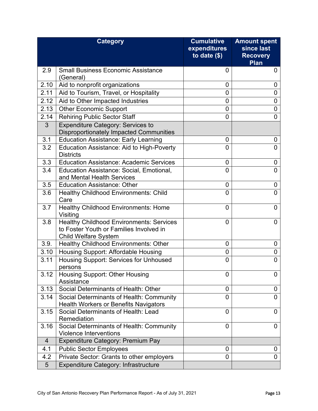|                 | <b>Category</b>                                                                                                           | <b>Cumulative</b><br>expenditures | <b>Amount spent</b><br>since last |
|-----------------|---------------------------------------------------------------------------------------------------------------------------|-----------------------------------|-----------------------------------|
|                 |                                                                                                                           | to date $($)$                     | <b>Recovery</b>                   |
|                 |                                                                                                                           |                                   | Plan                              |
| 2.9             | <b>Small Business Economic Assistance</b><br>(General)                                                                    | 0                                 | 0                                 |
| 2.10            | Aid to nonprofit organizations                                                                                            | 0                                 | 0                                 |
| 2.11            | Aid to Tourism, Travel, or Hospitality                                                                                    | 0                                 | 0                                 |
| 2.12            | Aid to Other Impacted Industries                                                                                          | 0                                 | 0                                 |
| 2.13            | <b>Other Economic Support</b>                                                                                             | $\overline{0}$                    | 0                                 |
| 2.14            | <b>Rehiring Public Sector Staff</b>                                                                                       | $\overline{0}$                    | 0                                 |
| 3               | <b>Expenditure Category: Services to</b><br><b>Disproportionately Impacted Communities</b>                                |                                   |                                   |
| 3.1             | <b>Education Assistance: Early Learning</b>                                                                               | 0                                 | 0                                 |
| 3.2             | Education Assistance: Aid to High-Poverty<br><b>Districts</b>                                                             | 0                                 | 0                                 |
| 3.3             | <b>Education Assistance: Academic Services</b>                                                                            | 0                                 | 0                                 |
| 3.4             | Education Assistance: Social, Emotional,<br>and Mental Health Services                                                    | 0                                 | 0                                 |
| 3.5             | <b>Education Assistance: Other</b>                                                                                        | 0                                 | 0                                 |
| 3.6             | <b>Healthy Childhood Environments: Child</b><br>Care                                                                      | $\overline{0}$                    | 0                                 |
| 3.7             | <b>Healthy Childhood Environments: Home</b><br>Visiting                                                                   | 0                                 | $\Omega$                          |
| 3.8             | <b>Healthy Childhood Environments: Services</b><br>to Foster Youth or Families Involved in<br><b>Child Welfare System</b> | $\overline{0}$                    | 0                                 |
| 3.9.            | Healthy Childhood Environments: Other                                                                                     | 0                                 | 0                                 |
| 3.10            | <b>Housing Support: Affordable Housing</b>                                                                                | 0                                 | 0                                 |
| 3.11            | Housing Support: Services for Unhoused<br>persons                                                                         | 0                                 | 0                                 |
| 3.12            | <b>Housing Support: Other Housing</b><br>Assistance                                                                       | 0                                 | 0                                 |
| 3.13            | Social Determinants of Health: Other                                                                                      | 0                                 | 0                                 |
| 3.14            | Social Determinants of Health: Community<br><b>Health Workers or Benefits Navigators</b>                                  | 0                                 | 0                                 |
| 3.15            | Social Determinants of Health: Lead<br>Remediation                                                                        | 0                                 | 0                                 |
| 3.16            | Social Determinants of Health: Community<br><b>Violence Interventions</b>                                                 | 0                                 | 0                                 |
| $\overline{4}$  | Expenditure Category: Premium Pay                                                                                         |                                   |                                   |
| 4.1             | <b>Public Sector Employees</b>                                                                                            | 0                                 | 0                                 |
| 4.2             | Private Sector: Grants to other employers                                                                                 | $\overline{0}$                    | 0                                 |
| $5\overline{)}$ | Expenditure Category: Infrastructure                                                                                      |                                   |                                   |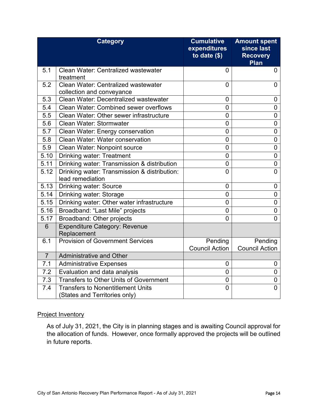|                | <b>Category</b>                                                           | <b>Cumulative</b><br>expenditures<br>to date $($)$ | <b>Amount spent</b><br>since last<br><b>Recovery</b><br>Plan |
|----------------|---------------------------------------------------------------------------|----------------------------------------------------|--------------------------------------------------------------|
| 5.1            | Clean Water: Centralized wastewater<br>treatment                          | 0                                                  | 0                                                            |
| 5.2            | Clean Water: Centralized wastewater<br>collection and conveyance          | $\overline{0}$                                     | $\overline{0}$                                               |
| 5.3            | Clean Water: Decentralized wastewater                                     | $\overline{0}$                                     | 0                                                            |
| 5.4            | <b>Clean Water: Combined sewer overflows</b>                              | $\mathbf 0$                                        | $\overline{0}$                                               |
| 5.5            | Clean Water: Other sewer infrastructure                                   | $\overline{0}$                                     | 0                                                            |
| 5.6            | Clean Water: Stormwater                                                   | 0                                                  | 0                                                            |
| 5.7            | Clean Water: Energy conservation                                          | $\mathbf 0$                                        | $\overline{0}$                                               |
| 5.8            | <b>Clean Water: Water conservation</b>                                    | 0                                                  | 0                                                            |
| 5.9            | Clean Water: Nonpoint source                                              | 0                                                  | $\mathbf 0$                                                  |
| 5.10           | <b>Drinking water: Treatment</b>                                          | $\overline{0}$                                     | $\overline{0}$                                               |
| 5.11           | Drinking water: Transmission & distribution                               | $\mathbf 0$                                        | 0                                                            |
| 5.12           | Drinking water: Transmission & distribution:<br>lead remediation          | $\overline{0}$                                     | $\overline{0}$                                               |
| 5.13           | <b>Drinking water: Source</b>                                             | $\overline{0}$                                     | 0                                                            |
| 5.14           | Drinking water: Storage                                                   | $\overline{0}$                                     | $\mathbf 0$                                                  |
| 5.15           | Drinking water: Other water infrastructure                                | $\overline{0}$                                     | $\overline{0}$                                               |
| 5.16           | Broadband: "Last Mile" projects                                           | $\overline{0}$                                     | $\overline{0}$                                               |
| 5.17           | Broadband: Other projects                                                 | $\overline{0}$                                     | $\overline{0}$                                               |
| $6\phantom{1}$ | <b>Expenditure Category: Revenue</b><br>Replacement                       |                                                    |                                                              |
| 6.1            | <b>Provision of Government Services</b>                                   | Pending<br><b>Council Action</b>                   | Pending<br><b>Council Action</b>                             |
| $\overline{7}$ | <b>Administrative and Other</b>                                           |                                                    |                                                              |
| 7.1            | <b>Administrative Expenses</b>                                            | 0                                                  | 0                                                            |
| 7.2            | Evaluation and data analysis                                              | 0                                                  | $\mathbf 0$                                                  |
| 7.3            | <b>Transfers to Other Units of Government</b>                             | 0                                                  | 0                                                            |
| 7.4            | <b>Transfers to Nonentitlement Units</b><br>(States and Territories only) | $\overline{0}$                                     | 0                                                            |

#### Project Inventory

As of July 31, 2021, the City is in planning stages and is awaiting Council approval for the allocation of funds. However, once formally approved the projects will be outlined in future reports.